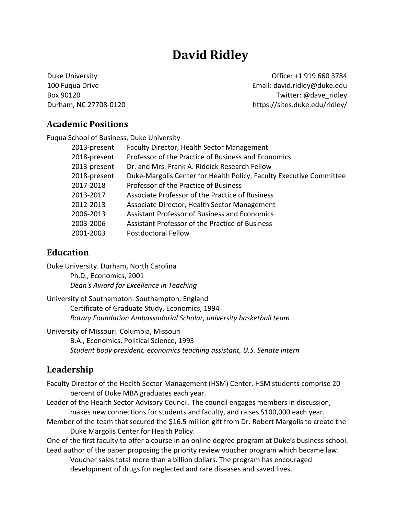# **David Ridley**

Duke University Office: +1 919 660 3784 100 Fuqua Drive Email: david.ridley@duke.edu Box 90120 **Box 90120 Box 90120** Durham, NC 27708‐0120 https://sites.duke.edu/ridley/

### **Academic Positions**

| Fugua School of Business, Duke University |                                                                     |
|-------------------------------------------|---------------------------------------------------------------------|
| 2013-present                              | Faculty Director, Health Sector Management                          |
| 2018-present                              | Professor of the Practice of Business and Economics                 |
| 2013-present                              | Dr. and Mrs. Frank A. Riddick Research Fellow                       |
| 2018-present                              | Duke-Margolis Center for Health Policy, Faculty Executive Committee |
| 2017-2018                                 | Professor of the Practice of Business                               |
| 2013-2017                                 | Associate Professor of the Practice of Business                     |
| 2012-2013                                 | Associate Director, Health Sector Management                        |
| 2006-2013                                 | <b>Assistant Professor of Business and Economics</b>                |
| 2003-2006                                 | Assistant Professor of the Practice of Business                     |
| 2001-2003                                 | Postdoctoral Fellow                                                 |

# **Education**

Duke University. Durham, North Carolina Ph.D., Economics, 2001 *Dean's Award for Excellence in Teaching*

University of Southampton. Southampton, England Certificate of Graduate Study, Economics, 1994 *Rotary Foundation Ambassadorial Scholar, university basketball team*

University of Missouri. Columbia, Missouri

B.A., Economics, Political Science, 1993 *Student body president, economics teaching assistant, U.S. Senate intern*

# **Leadership**

Faculty Director of the Health Sector Management (HSM) Center. HSM students comprise 20 percent of Duke MBA graduates each year.

- Leader of the Health Sector Advisory Council. The council engages members in discussion, makes new connections for students and faculty, and raises \$100,000 each year.
- Member of the team that secured the \$16.5 million gift from Dr. Robert Margolis to create the Duke Margolis Center for Health Policy.

One of the first faculty to offer a course in an online degree program at Duke's business school. Lead author of the paper proposing the priority review voucher program which became law.

Voucher sales total more than a billion dollars. The program has encouraged development of drugs for neglected and rare diseases and saved lives.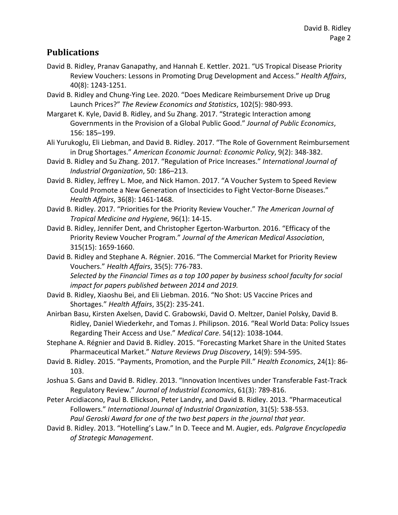### **Publications**

- David B. Ridley, Pranav Ganapathy, and Hannah E. Kettler. 2021. "US Tropical Disease Priority Review Vouchers: Lessons in Promoting Drug Development and Access." *Health Affairs*, 40(8): 1243‐1251.
- David B. Ridley and Chung‐Ying Lee. 2020. "Does Medicare Reimbursement Drive up Drug Launch Prices?" *The Review Economics and Statistics*, 102(5): 980‐993.
- Margaret K. Kyle, David B. Ridley, and Su Zhang. 2017. "Strategic Interaction among Governments in the Provision of a Global Public Good." *Journal of Public Economics*, 156: 185–199.
- Ali Yurukoglu, Eli Liebman, and David B. Ridley. 2017. "The Role of Government Reimbursement in Drug Shortages." *American Economic Journal: Economic Policy*, 9(2): 348‐382.
- David B. Ridley and Su Zhang. 2017. "Regulation of Price Increases." *International Journal of Industrial Organization*, 50: 186–213.
- David B. Ridley, Jeffrey L. Moe, and Nick Hamon. 2017. "A Voucher System to Speed Review Could Promote a New Generation of Insecticides to Fight Vector‐Borne Diseases." *Health Affairs*, 36(8): 1461‐1468.
- David B. Ridley. 2017. "Priorities for the Priority Review Voucher." *The American Journal of Tropical Medicine and Hygiene*, 96(1): 14‐15.
- David B. Ridley, Jennifer Dent, and Christopher Egerton‐Warburton. 2016. "Efficacy of the Priority Review Voucher Program." *Journal of the American Medical Association*, 315(15): 1659‐1660.
- David B. Ridley and Stephane A. Régnier. 2016. "The Commercial Market for Priority Review Vouchers." *Health Affairs*, 35(5): 776‐783. *Selected by the Financial Times as a top 100 paper by business school faculty for social impact for papers published between 2014 and 2019.*
- David B. Ridley, Xiaoshu Bei, and Eli Liebman. 2016. "No Shot: US Vaccine Prices and Shortages." *Health Affairs*, 35(2): 235‐241.
- Anirban Basu, Kirsten Axelsen, David C. Grabowski, David O. Meltzer, Daniel Polsky, David B. Ridley, Daniel Wiederkehr, and Tomas J. Philipson. 2016. "Real World Data: Policy Issues Regarding Their Access and Use." *Medical Care*. 54(12): 1038‐1044.
- Stephane A. Régnier and David B. Ridley. 2015. "Forecasting Market Share in the United States Pharmaceutical Market." *Nature Reviews Drug Discovery*, 14(9): 594‐595.
- David B. Ridley. 2015. "Payments, Promotion, and the Purple Pill." *Health Economics*, 24(1): 86‐ 103.
- Joshua S. Gans and David B. Ridley. 2013. "Innovation Incentives under Transferable Fast‐Track Regulatory Review." *Journal of Industrial Economics*, 61(3): 789‐816.
- Peter Arcidiacono, Paul B. Ellickson, Peter Landry, and David B. Ridley. 2013. "Pharmaceutical Followers." *International Journal of Industrial Organization*, 31(5): 538‐553. *Paul Geroski Award for one of the two best papers in the journal that year.*
- David B. Ridley. 2013. "Hotelling's Law." In D. Teece and M. Augier, eds. *Palgrave Encyclopedia of Strategic Management*.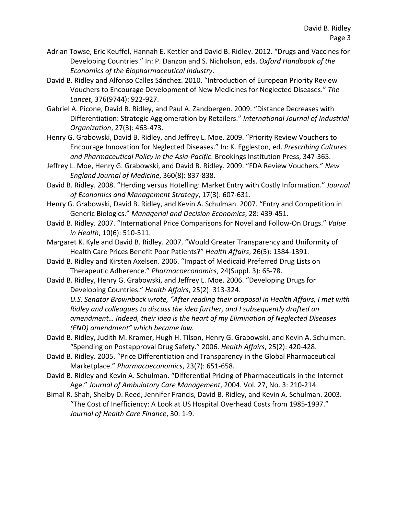- Adrian Towse, Eric Keuffel, Hannah E. Kettler and David B. Ridley. 2012. "Drugs and Vaccines for Developing Countries." In: P. Danzon and S. Nicholson, eds. *Oxford Handbook of the Economics of the Biopharmaceutical Industry*.
- David B. Ridley and Alfonso Calles Sánchez. 2010. "Introduction of European Priority Review Vouchers to Encourage Development of New Medicines for Neglected Diseases." *The Lancet*, 376(9744): 922‐927.
- Gabriel A. Picone, David B. Ridley, and Paul A. Zandbergen. 2009. "Distance Decreases with Differentiation: Strategic Agglomeration by Retailers." *International Journal of Industrial Organization*, 27(3): 463‐473.
- Henry G. Grabowski, David B. Ridley, and Jeffrey L. Moe. 2009. "Priority Review Vouchers to Encourage Innovation for Neglected Diseases." In: K. Eggleston, ed. *Prescribing Cultures and Pharmaceutical Policy in the Asia‐Pacific*. Brookings Institution Press, 347‐365.
- Jeffrey L. Moe, Henry G. Grabowski, and David B. Ridley. 2009. "FDA Review Vouchers." *New England Journal of Medicine*, 360(8): 837‐838.
- David B. Ridley. 2008. "Herding versus Hotelling: Market Entry with Costly Information." *Journal of Economics and Management Strategy*, 17(3): 607‐631.
- Henry G. Grabowski, David B. Ridley, and Kevin A. Schulman. 2007. "Entry and Competition in Generic Biologics." *Managerial and Decision Economics*, 28: 439‐451.
- David B. Ridley. 2007. "International Price Comparisons for Novel and Follow‐On Drugs." *Value in Health*, 10(6): 510‐511.
- Margaret K. Kyle and David B. Ridley. 2007. "Would Greater Transparency and Uniformity of Health Care Prices Benefit Poor Patients?" *Health Affairs*, 26(5): 1384‐1391.
- David B. Ridley and Kirsten Axelsen. 2006. "Impact of Medicaid Preferred Drug Lists on Therapeutic Adherence." *Pharmacoeconomics*, 24(Suppl. 3): 65‐78.
- David B. Ridley, Henry G. Grabowski, and Jeffrey L. Moe. 2006. "Developing Drugs for Developing Countries." *Health Affairs*, 25(2): 313‐324.

*U.S. Senator Brownback wrote, "After reading their proposal in Health Affairs, I met with Ridley and colleagues to discuss the idea further, and I subsequently drafted an amendment… Indeed, their idea is the heart of my Elimination of Neglected Diseases (END) amendment" which became law.* 

- David B. Ridley, Judith M. Kramer, Hugh H. Tilson, Henry G. Grabowski, and Kevin A. Schulman. "Spending on Postapproval Drug Safety." 2006. *Health Affairs*, 25(2): 420‐428.
- David B. Ridley. 2005. "Price Differentiation and Transparency in the Global Pharmaceutical Marketplace." *Pharmacoeconomics*, 23(7): 651‐658.
- David B. Ridley and Kevin A. Schulman. "Differential Pricing of Pharmaceuticals in the Internet Age." *Journal of Ambulatory Care Management*, 2004. Vol. 27, No. 3: 210‐214.
- Bimal R. Shah, Shelby D. Reed, Jennifer Francis, David B. Ridley, and Kevin A. Schulman. 2003. "The Cost of Inefficiency: A Look at US Hospital Overhead Costs from 1985‐1997." *Journal of Health Care Finance*, 30: 1‐9.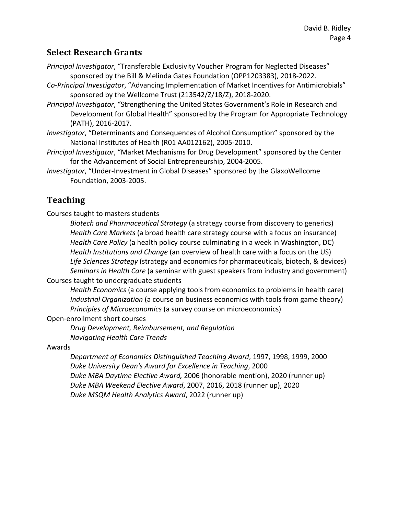# **Select Research Grants**

*Principal Investigator*, "Transferable Exclusivity Voucher Program for Neglected Diseases" sponsored by the Bill & Melinda Gates Foundation (OPP1203383), 2018‐2022.

- *Co‐Principal Investigator*, "Advancing Implementation of Market Incentives for Antimicrobials" sponsored by the Wellcome Trust (213542/Z/18/Z), 2018‐2020.
- *Principal Investigator*, "Strengthening the United States Government's Role in Research and Development for Global Health" sponsored by the Program for Appropriate Technology (PATH), 2016‐2017.
- *Investigator*, "Determinants and Consequences of Alcohol Consumption" sponsored by the National Institutes of Health (R01 AA012162), 2005‐2010.
- *Principal Investigator*, "Market Mechanisms for Drug Development" sponsored by the Center for the Advancement of Social Entrepreneurship, 2004‐2005.
- *Investigator*, "Under‐Investment in Global Diseases" sponsored by the GlaxoWellcome Foundation, 2003‐2005.

# **Teaching**

Courses taught to masters students

*Biotech and Pharmaceutical Strategy* (a strategy course from discovery to generics) *Health Care Markets* (a broad health care strategy course with a focus on insurance) *Health Care Policy* (a health policy course culminating in a week in Washington, DC) *Health Institutions and Change* (an overview of health care with a focus on the US) *Life Sciences Strategy* (strategy and economics for pharmaceuticals, biotech, & devices) *Seminars in Health Care* (a seminar with guest speakers from industry and government) Courses taught to undergraduate students

*Health Economics* (a course applying tools from economics to problems in health care)

*Industrial Organization* (a course on business economics with tools from game theory) *Principles of Microeconomics* (a survey course on microeconomics)

Open‐enrollment short courses

*Drug Development, Reimbursement, and Regulation Navigating Health Care Trends*

Awards

*Department of Economics Distinguished Teaching Award*, 1997, 1998, 1999, 2000 *Duke University Dean's Award for Excellence in Teaching*, 2000 *Duke MBA Daytime Elective Award,* 2006 (honorable mention), 2020 (runner up) *Duke MBA Weekend Elective Award*, 2007, 2016, 2018 (runner up), 2020 *Duke MSQM Health Analytics Award*, 2022 (runner up)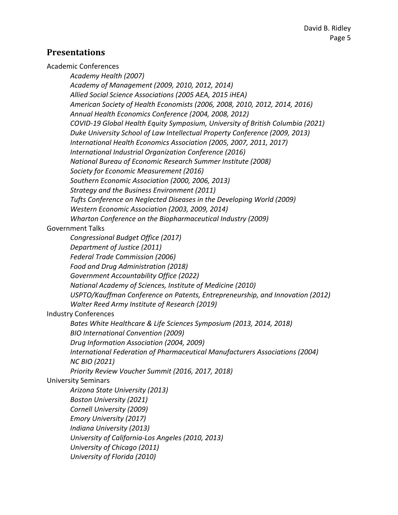### **Presentations**

Academic Conferences

*Academy Health (2007) Academy of Management (2009, 2010, 2012, 2014) Allied Social Science Associations (2005 AEA, 2015 iHEA) American Society of Health Economists (2006, 2008, 2010, 2012, 2014, 2016) Annual Health Economics Conference (2004, 2008, 2012) COVID‐19 Global Health Equity Symposium, University of British Columbia (2021) Duke University School of Law Intellectual Property Conference (2009, 2013) International Health Economics Association (2005, 2007, 2011, 2017) International Industrial Organization Conference (2016) National Bureau of Economic Research Summer Institute (2008) Society for Economic Measurement (2016) Southern Economic Association (2000, 2006, 2013) Strategy and the Business Environment (2011) Tufts Conference on Neglected Diseases in the Developing World (2009) Western Economic Association (2003, 2009, 2014) Wharton Conference on the Biopharmaceutical Industry (2009)* Government Talks *Congressional Budget Office (2017) Department of Justice (2011) Federal Trade Commission (2006) Food and Drug Administration (2018) Government Accountability Office (2022) National Academy of Sciences, Institute of Medicine (2010) USPTO/Kauffman Conference on Patents, Entrepreneurship, and Innovation (2012) Walter Reed Army Institute of Research (2019)* Industry Conferences *Bates White Healthcare & Life Sciences Symposium (2013, 2014, 2018) BIO International Convention (2009) Drug Information Association (2004, 2009) International Federation of Pharmaceutical Manufacturers Associations (2004) NC BIO (2021) Priority Review Voucher Summit (2016, 2017, 2018)* University Seminars *Arizona State University (2013) Boston University (2021) Cornell University (2009) Emory University (2017) Indiana University (2013) University of California‐Los Angeles (2010, 2013) University of Chicago (2011) University of Florida (2010)*